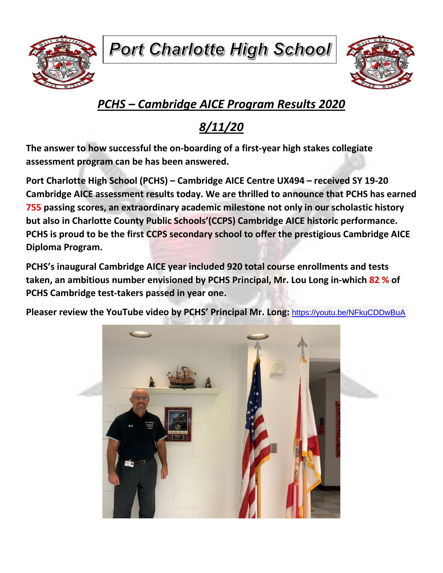**Port Charlotte High School** 





## *PCHS – Cambridge AICE Program Results 2020*

## *8/11/20*

**The answer to how successful the on-boarding of a first-year high stakes collegiate assessment program can be has been answered.** 

**Port Charlotte High School (PCHS) – Cambridge AICE Centre UX494 – received SY 19-20 Cambridge AICE assessment results today. We are thrilled to announce that PCHS has earned 755 passing scores, an extraordinary academic milestone not only in our scholastic history but also in Charlotte County Public Schools'(CCPS) Cambridge AICE historic performance. PCHS is proud to be the first CCPS secondary school to offer the prestigious Cambridge AICE Diploma Program.**

**PCHS's inaugural Cambridge AICE year included 920 total course enrollments and tests taken, an ambitious number envisioned by PCHS Principal, Mr. Lou Long in-which 82 % of PCHS Cambridge test-takers passed in year one.**

**Pleaser review the YouTube video by PCHS' Principal Mr. Long:** <https://youtu.be/NFkuCDDwBuA>

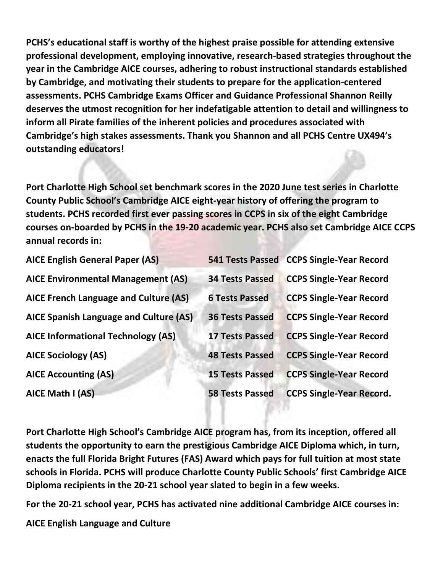**PCHS's educational staff is worthy of the highest praise possible for attending extensive professional development, employing innovative, research-based strategies throughout the year in the Cambridge AICE courses, adhering to robust instructional standards established by Cambridge, and motivating their students to prepare for the application-centered assessments. PCHS Cambridge Exams Officer and Guidance Professional Shannon Reilly deserves the utmost recognition for her indefatigable attention to detail and willingness to inform all Pirate families of the inherent policies and procedures associated with Cambridge's high stakes assessments. Thank you Shannon and all PCHS Centre UX494's outstanding educators!** 

**Port Charlotte High School set benchmark scores in the 2020 June test series in Charlotte County Public School's Cambridge AICE eight-year history of offering the program to students. PCHS recorded first ever passing scores in CCPS in six of the eight Cambridge courses on-boarded by PCHS in the 19-20 academic year. PCHS also set Cambridge AICE CCPS annual records in:**

| <b>AICE English General Paper (AS)</b>    |                        | 541 Tests Passed CCPS Single-Year Record |
|-------------------------------------------|------------------------|------------------------------------------|
| <b>AICE Environmental Management (AS)</b> | <b>34 Tests Passed</b> | <b>CCPS Single-Year Record</b>           |
| AICE French Language and Culture (AS)     | <b>6 Tests Passed</b>  | <b>CCPS Single-Year Record</b>           |
| AICE Spanish Language and Culture (AS)    | <b>36 Tests Passed</b> | <b>CCPS Single-Year Record</b>           |
| <b>AICE Informational Technology (AS)</b> | <b>17 Tests Passed</b> | <b>CCPS Single-Year Record</b>           |
| <b>AICE Sociology (AS)</b>                | <b>48 Tests Passed</b> | <b>CCPS Single-Year Record</b>           |
| <b>AICE Accounting (AS)</b>               | <b>15 Tests Passed</b> | <b>CCPS Single-Year Record</b>           |
| AICE Math I (AS)                          | <b>58 Tests Passed</b> | <b>CCPS Single-Year Record.</b>          |

**Port Charlotte High School's Cambridge AICE program has, from its inception, offered all students the opportunity to earn the prestigious Cambridge AICE Diploma which, in turn, enacts the full Florida Bright Futures (FAS) Award which pays for full tuition at most state schools in Florida. PCHS will produce Charlotte County Public Schools' first Cambridge AICE Diploma recipients in the 20-21 school year slated to begin in a few weeks.**

**For the 20-21 school year, PCHS has activated nine additional Cambridge AICE courses in:**

**AICE English Language and Culture**